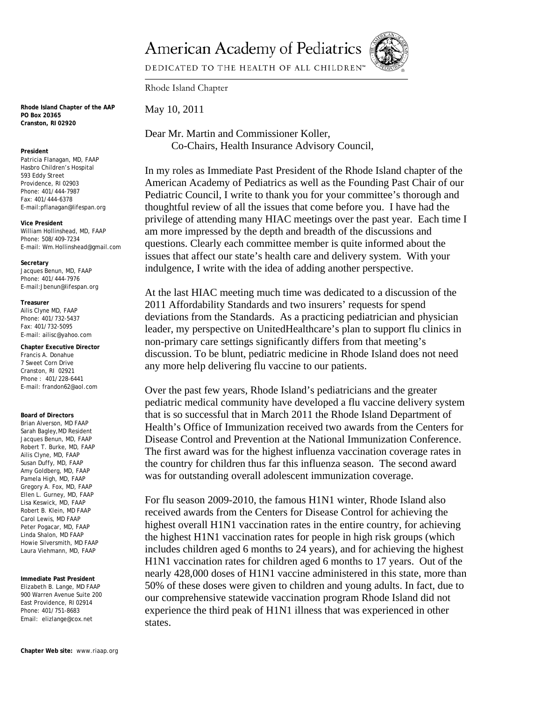**American Academy of Pediatrics** 



DEDICATED TO THE HEALTH OF ALL CHILDREN™

Rhode Island Chapter

May 10, 2011

Dear Mr. Martin and Commissioner Koller, Co-Chairs, Health Insurance Advisory Council,

In my roles as Immediate Past President of the Rhode Island chapter of the American Academy of Pediatrics as well as the Founding Past Chair of our Pediatric Council, I write to thank you for your committee's thorough and thoughtful review of all the issues that come before you. I have had the privilege of attending many HIAC meetings over the past year. Each time I am more impressed by the depth and breadth of the discussions and questions. Clearly each committee member is quite informed about the issues that affect our state's health care and delivery system. With your indulgence, I write with the idea of adding another perspective.

At the last HIAC meeting much time was dedicated to a discussion of the 2011 Affordability Standards and two insurers' requests for spend deviations from the Standards. As a practicing pediatrician and physician leader, my perspective on UnitedHealthcare's plan to support flu clinics in non-primary care settings significantly differs from that meeting's discussion. To be blunt, pediatric medicine in Rhode Island does not need any more help delivering flu vaccine to our patients.

Over the past few years, Rhode Island's pediatricians and the greater pediatric medical community have developed a flu vaccine delivery system that is so successful that in March 2011 the Rhode Island Department of Health's Office of Immunization received two awards from the Centers for Disease Control and Prevention at the National Immunization Conference. The first award was for the highest influenza vaccination coverage rates in the country for children thus far this influenza season. The second award was for outstanding overall adolescent immunization coverage.

For flu season 2009-2010, the famous H1N1 winter, Rhode Island also received awards from the Centers for Disease Control for achieving the highest overall H1N1 vaccination rates in the entire country, for achieving the highest H1N1 vaccination rates for people in high risk groups (which includes children aged 6 months to 24 years), and for achieving the highest H1N1 vaccination rates for children aged 6 months to 17 years. Out of the nearly 428,000 doses of H1N1 vaccine administered in this state, more than 50% of these doses were given to children and young adults. In fact, due to our comprehensive statewide vaccination program Rhode Island did not experience the third peak of H1N1 illness that was experienced in other states.

**Rhode Island Chapter of the AAP PO Box 20365 Cranston, RI 02920** 

## **President**

Patricia Flanagan, MD, FAAP Hasbro Children's Hospital 593 Eddy Street Providence, RI 02903 Phone: 401/444-7987 Fax: 401/444-6378 E-mail:pflanagan@lifespan.org

**Vice President** William Hollinshead, MD, FAAP Phone: 508/409-7234 E-mail: Wm.Hollinshead@gmail.com

**Secretary** Jacques Benun, MD, FAAP Phone: 401/444-7976 E-mail:Jbenun@lifespan.org

## **Treasurer**

Ailis Clyne MD, FAAP Phone: 401/732-5437 Fax: 401/732-5095 E-mail: ailisc@yahoo.com

**Chapter Executive Director**  Francis A. Donahue 7 Sweet Corn Drive Cranston, RI 02921 Phone : 401/228-6441 E-mail: frandon62@aol.com

**Board of Directors**  Brian Alverson, MD FAAP Sarah Bagley,MD Resident Jacques Benun, MD, FAAP Robert T. Burke, MD, FAAP Ailis Clyne, MD, FAAP Susan Duffy, MD, FAAP Amy Goldberg, MD, FAAP Pamela High, MD, FAAP Gregory A. Fox, MD, FAAP Ellen L. Gurney, MD, FAAP Lisa Keswick, MD, FAAP Robert B. Klein, MD FAAP Carol Lewis, MD FAAP Peter Pogacar, MD, FAAP Linda Shalon, MD FAAP Howie Silversmith, MD FAAP Laura Viehmann, MD, FAAP

**Immediate Past President**  Elizabeth B. Lange, MD FAAP 900 Warren Avenue Suite 200 East Providence, RI 02914 Phone: 401/751-8683 Email: elizlange@cox.net